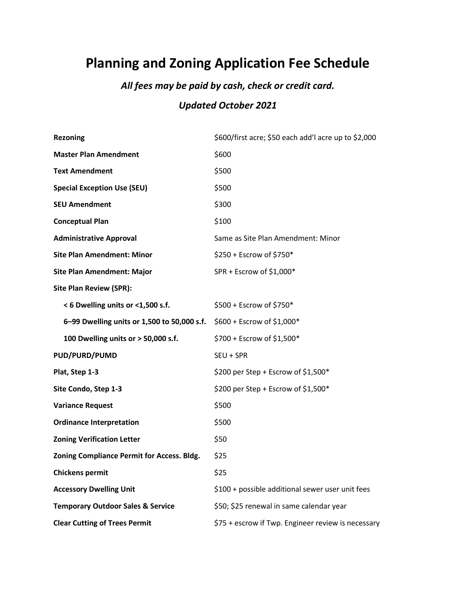## **Planning and Zoning Application Fee Schedule**

## *All fees may be paid by cash, check or credit card.*

## *Updated October 2021*

| <b>Rezoning</b>                              | \$600/first acre; \$50 each add'l acre up to \$2,000 |
|----------------------------------------------|------------------------------------------------------|
| <b>Master Plan Amendment</b>                 | \$600                                                |
| <b>Text Amendment</b>                        | \$500                                                |
| <b>Special Exception Use (SEU)</b>           | \$500                                                |
| <b>SEU Amendment</b>                         | \$300                                                |
| <b>Conceptual Plan</b>                       | \$100                                                |
| <b>Administrative Approval</b>               | Same as Site Plan Amendment: Minor                   |
| <b>Site Plan Amendment: Minor</b>            | \$250 + Escrow of \$750*                             |
| <b>Site Plan Amendment: Major</b>            | SPR + Escrow of \$1,000*                             |
| <b>Site Plan Review (SPR):</b>               |                                                      |
| < 6 Dwelling units or <1,500 s.f.            | \$500 + Escrow of \$750*                             |
| 6-99 Dwelling units or 1,500 to 50,000 s.f.  | \$600 + Escrow of \$1,000*                           |
| 100 Dwelling units or > 50,000 s.f.          | \$700 + Escrow of \$1,500*                           |
| PUD/PURD/PUMD                                | SEU + SPR                                            |
| Plat, Step 1-3                               | \$200 per Step + Escrow of \$1,500*                  |
| Site Condo, Step 1-3                         | \$200 per Step + Escrow of \$1,500*                  |
| <b>Variance Request</b>                      | \$500                                                |
| <b>Ordinance Interpretation</b>              | \$500                                                |
| <b>Zoning Verification Letter</b>            | \$50                                                 |
| Zoning Compliance Permit for Access. Bldg.   | \$25                                                 |
| <b>Chickens permit</b>                       | \$25                                                 |
| <b>Accessory Dwelling Unit</b>               | \$100 + possible additional sewer user unit fees     |
| <b>Temporary Outdoor Sales &amp; Service</b> | \$50; \$25 renewal in same calendar year             |
| <b>Clear Cutting of Trees Permit</b>         | \$75 + escrow if Twp. Engineer review is necessary   |